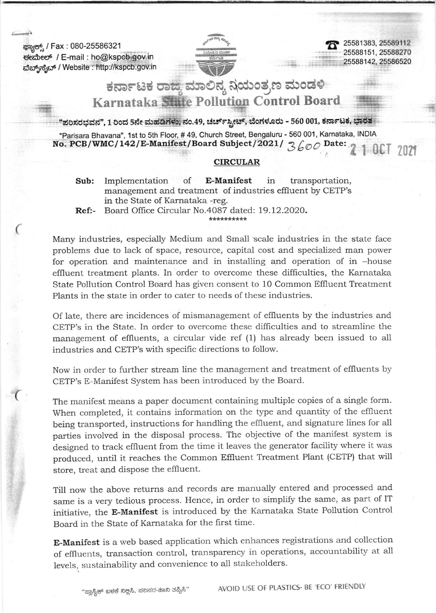ಕ್ಷ<del>ಾನ್ಸ್</del> / Fax : 080-25586321 deibeef / E-mail : ho@kspq@ov.in da{a63a:e / Website : http:i/kspcb.Qov.in

(

 $\left($ 



25581383, 25589112 25588151.2s588270 25588142,25586s20

ಕರ್ನಾಟಕ ರಾಜ್ಯ ಮಾಲಿನ್ಯ ನಿಯಂತ್ರಣ ಮಂಡಳಿ Karnataka State Pollution Control Board

"ಪರಿಸರಭವನ", 1 ರಿಂದ 5ನೇ ಮಹಡಿಗಳು, ನಂ.49, ಚರ್ಚ್ಸ್ಪೀಟ್, ಬೆಂಗಳೂರು - 560 001, ಕರ್ನಾಟಕ, ಭಾರತ

"Parisara Bhavana", 1st to 5th Floor, # 49, Church Street, Bengaluru - 560 001, Karnataka, INDIA No. PCB/WMC/142/E-Manifest/Board Subject/2021/  $3600$  Date: 2 1 0CT 2021

## **CIRCULAR**

- Sub: Implementation of E-Manifest in transportation, management and treatment of industries effluent by CETP's in the State of Karnataka -reg.
- Ref:- Board Offrce Circular No.4087 dated: 19.12.2O2O.

Many industries, especially Medium and Small scale industries in the state face problems due to lack of space, resource, capital cost and specialized man power for operation and maintenance and in installing and operation of in -house effluent treatment plants. In order to overcome these difficulties, the Karnataka State Pollution Control Board has given consent to 10 Common Effluent Treatment Plants in the state in order to cater to needs of these industries.

Of late, there are incidences of mismanagement of effluents by the industries and CETP's in the State. In order to overcome these diffrculties and to streamline the management of effluents, a circular vide ref (1) has already been issued to all industries and CETP's with specific directions to follow.

Now in order to further stream line the management and treatment of effluents by CETP's E-Manifest System has been introduced by the Board.

The manifest means a paper document containing multiple copies of a single form. When completed, it contains information on the type and quantity of the effluent being transported, instructions for handling the effluent, and signature lines for all parties involved in the disposal process. The objective of the manifest system is designed to track effluent from the time it leaves the generator facility where it was produced, until it reaches the Common Effluent Treatment Plant (CETP) that will store, treat and dispose the effluent.

Till now the above returns and records are manually entered and processed and same is a very tedious process. Hence, in order to simplify the same, as part of IT initiative, the E-Manifest is introduced by the Karnataka State Pollution Controi Board in the State of Karnataka for the first time.

E-Manifest is a web based application which enhances registrations and collection of effluents, transaction control, transparency in operations, accountability at all levels, sustainability and convenience to all stakeholders.